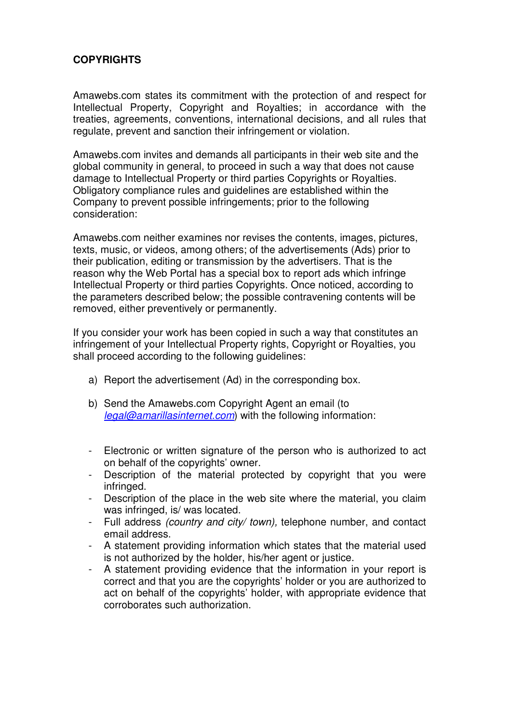## **COPYRIGHTS**

Amawebs.com states its commitment with the protection of and respect for Intellectual Property, Copyright and Royalties; in accordance with the treaties, agreements, conventions, international decisions, and all rules that regulate, prevent and sanction their infringement or violation.

Amawebs.com invites and demands all participants in their web site and the global community in general, to proceed in such a way that does not cause damage to Intellectual Property or third parties Copyrights or Royalties. Obligatory compliance rules and guidelines are established within the Company to prevent possible infringements; prior to the following consideration:

Amawebs.com neither examines nor revises the contents, images, pictures, texts, music, or videos, among others; of the advertisements (Ads) prior to their publication, editing or transmission by the advertisers. That is the reason why the Web Portal has a special box to report ads which infringe Intellectual Property or third parties Copyrights. Once noticed, according to the parameters described below; the possible contravening contents will be removed, either preventively or permanently.

If you consider your work has been copied in such a way that constitutes an infringement of your Intellectual Property rights, Copyright or Royalties, you shall proceed according to the following guidelines:

- a) Report the advertisement (Ad) in the corresponding box.
- b) Send the Amawebs.com Copyright Agent an email (to legal@amarillasinternet.com) with the following information:
- Electronic or written signature of the person who is authorized to act on behalf of the copyrights' owner.
- Description of the material protected by copyright that you were infringed.
- Description of the place in the web site where the material, you claim was infringed, is/ was located.
- Full address (country and city/ town), telephone number, and contact email address.
- A statement providing information which states that the material used is not authorized by the holder, his/her agent or justice.
- A statement providing evidence that the information in your report is correct and that you are the copyrights' holder or you are authorized to act on behalf of the copyrights' holder, with appropriate evidence that corroborates such authorization.